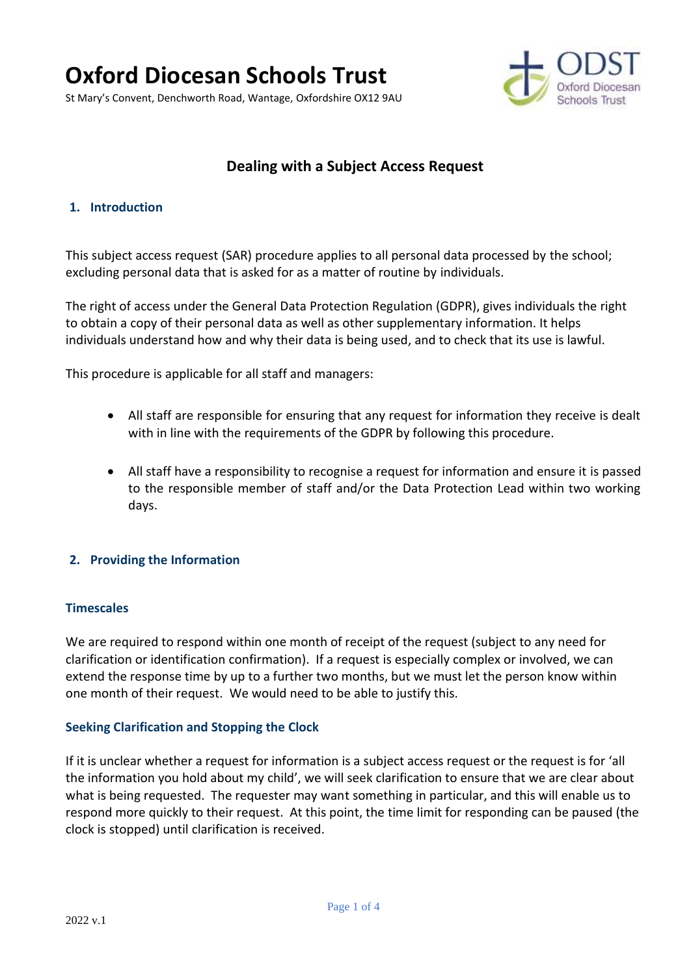# **Oxford Diocesan Schools Trust**

St Mary's Convent, Denchworth Road, Wantage, Oxfordshire OX12 9AU



## **Dealing with a Subject Access Request**

#### **1. Introduction**

This subject access request (SAR) procedure applies to all personal data processed by the school; excluding personal data that is asked for as a matter of routine by individuals.

The right of access under the General Data Protection Regulation (GDPR), gives individuals the right to obtain a copy of their personal data as well as other supplementary information. It helps individuals understand how and why their data is being used, and to check that its use is lawful.

This procedure is applicable for all staff and managers:

- All staff are responsible for ensuring that any request for information they receive is dealt with in line with the requirements of the GDPR by following this procedure.
- All staff have a responsibility to recognise a request for information and ensure it is passed to the responsible member of staff and/or the Data Protection Lead within two working days.

#### **2. Providing the Information**

#### **Timescales**

We are required to respond within one month of receipt of the request (subject to any need for clarification or identification confirmation). If a request is especially complex or involved, we can extend the response time by up to a further two months, but we must let the person know within one month of their request. We would need to be able to justify this.

#### **Seeking Clarification and Stopping the Clock**

If it is unclear whether a request for information is a subject access request or the request is for 'all the information you hold about my child', we will seek clarification to ensure that we are clear about what is being requested. The requester may want something in particular, and this will enable us to respond more quickly to their request. At this point, the time limit for responding can be paused (the clock is stopped) until clarification is received.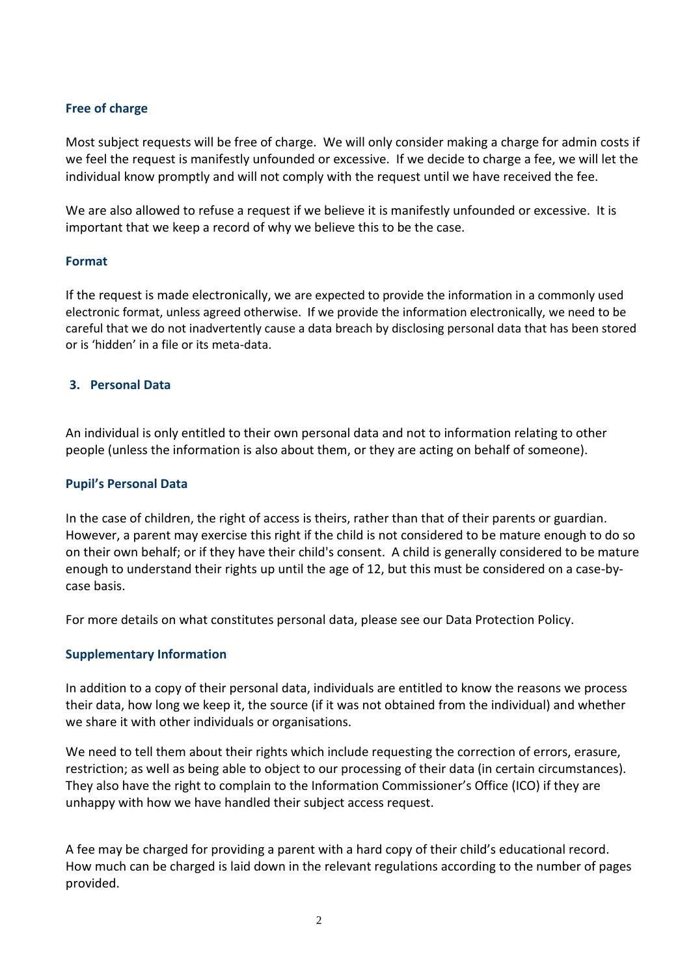#### **Free of charge**

Most subject requests will be free of charge. We will only consider making a charge for admin costs if we feel the request is manifestly unfounded or excessive. If we decide to charge a fee, we will let the individual know promptly and will not comply with the request until we have received the fee.

We are also allowed to refuse a request if we believe it is manifestly unfounded or excessive. It is important that we keep a record of why we believe this to be the case.

#### **Format**

If the request is made electronically, we are expected to provide the information in a commonly used electronic format, unless agreed otherwise. If we provide the information electronically, we need to be careful that we do not inadvertently cause a data breach by disclosing personal data that has been stored or is 'hidden' in a file or its meta-data.

#### **3. Personal Data**

An individual is only entitled to their own personal data and not to information relating to other people (unless the information is also about them, or they are acting on behalf of someone).

#### **Pupil's Personal Data**

In the case of children, the right of access is theirs, rather than that of their parents or guardian. However, a parent may exercise this right if the child is not considered to be mature enough to do so on their own behalf; or if they have their child's consent. A child is generally considered to be mature enough to understand their rights up until the age of 12, but this must be considered on a case-bycase basis.

For more details on what constitutes personal data, please see our Data Protection Policy.

#### **Supplementary Information**

In addition to a copy of their personal data, individuals are entitled to know the reasons we process their data, how long we keep it, the source (if it was not obtained from the individual) and whether we share it with other individuals or organisations.

We need to tell them about their rights which include requesting the correction of errors, erasure, restriction; as well as being able to object to our processing of their data (in certain circumstances). They also have the right to complain to the Information Commissioner's Office (ICO) if they are unhappy with how we have handled their subject access request.

A fee may be charged for providing a parent with a hard copy of their child's educational record. How much can be charged is laid down in the relevant regulations according to the number of pages provided.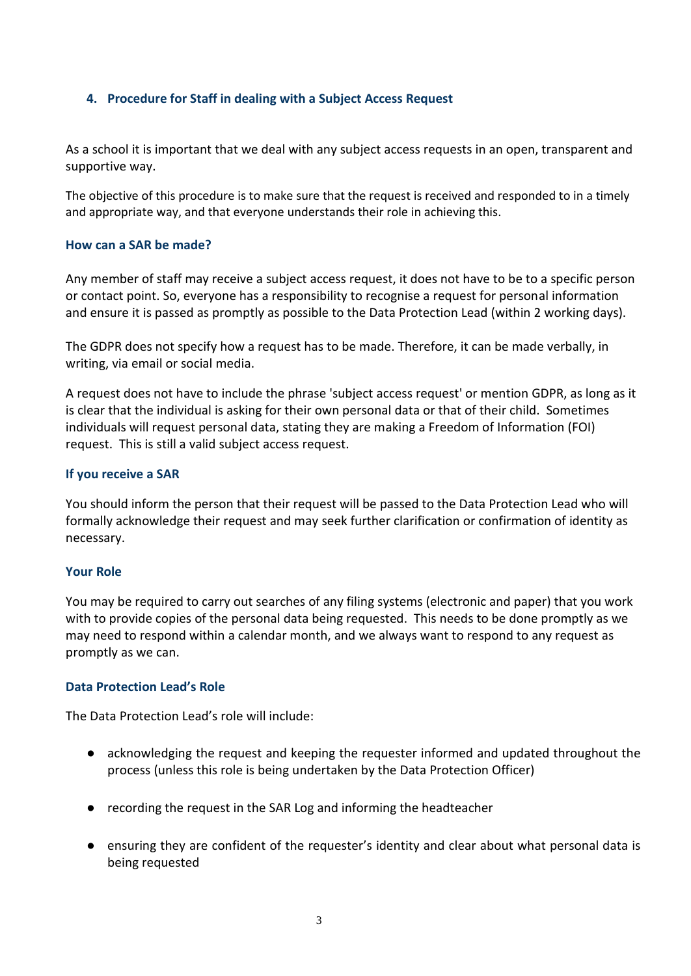#### **4. Procedure for Staff in dealing with a Subject Access Request**

As a school it is important that we deal with any subject access requests in an open, transparent and supportive way.

The objective of this procedure is to make sure that the request is received and responded to in a timely and appropriate way, and that everyone understands their role in achieving this.

#### **How can a SAR be made?**

Any member of staff may receive a subject access request, it does not have to be to a specific person or contact point. So, everyone has a responsibility to recognise a request for personal information and ensure it is passed as promptly as possible to the Data Protection Lead (within 2 working days).

The GDPR does not specify how a request has to be made. Therefore, it can be made verbally, in writing, via email or social media.

A request does not have to include the phrase 'subject access request' or mention GDPR, as long as it is clear that the individual is asking for their own personal data or that of their child. Sometimes individuals will request personal data, stating they are making a Freedom of Information (FOI) request. This is still a valid subject access request.

#### **If you receive a SAR**

You should inform the person that their request will be passed to the Data Protection Lead who will formally acknowledge their request and may seek further clarification or confirmation of identity as necessary.

#### **Your Role**

You may be required to carry out searches of any filing systems (electronic and paper) that you work with to provide copies of the personal data being requested. This needs to be done promptly as we may need to respond within a calendar month, and we always want to respond to any request as promptly as we can.

#### **Data Protection Lead's Role**

The Data Protection Lead's role will include:

- acknowledging the request and keeping the requester informed and updated throughout the process (unless this role is being undertaken by the Data Protection Officer)
- recording the request in the SAR Log and informing the headteacher
- ensuring they are confident of the requester's identity and clear about what personal data is being requested